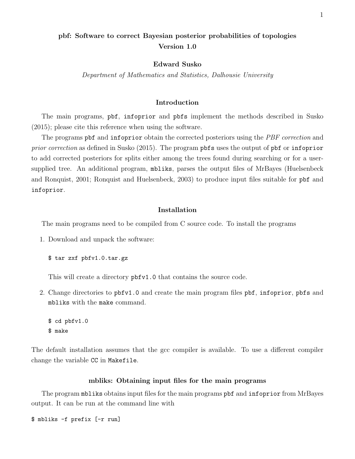# pbf: Software to correct Bayesian posterior probabilities of topologies Version 1.0

# Edward Susko

Department of Mathematics and Statistics, Dalhousie University

# Introduction

The main programs, pbf, infoprior and pbfs implement the methods described in Susko (2015); please cite this reference when using the software.

The programs pbf and infoprior obtain the corrected posteriors using the PBF correction and prior correction as defined in Susko (2015). The program pbfs uses the output of pbf or infoprior to add corrected posteriors for splits either among the trees found during searching or for a usersupplied tree. An additional program, mbliks, parses the output files of MrBayes (Huelsenbeck and Ronquist, 2001; Ronquist and Huelsenbeck, 2003) to produce input files suitable for pbf and infoprior.

# Installation

The main programs need to be compiled from C source code. To install the programs

1. Download and unpack the software:

\$ tar zxf pbfv1.0.tar.gz

This will create a directory pbfv1.0 that contains the source code.

2. Change directories to pbfv1.0 and create the main program files pbf, infoprior, pbfs and mbliks with the make command.

\$ cd pbfv1.0 \$ make

The default installation assumes that the gcc compiler is available. To use a different compiler change the variable CC in Makefile.

#### mbliks: Obtaining input files for the main programs

The program mbliks obtains input files for the main programs pbf and infoprior from MrBayes output. It can be run at the command line with

\$ mbliks -f prefix [-r run]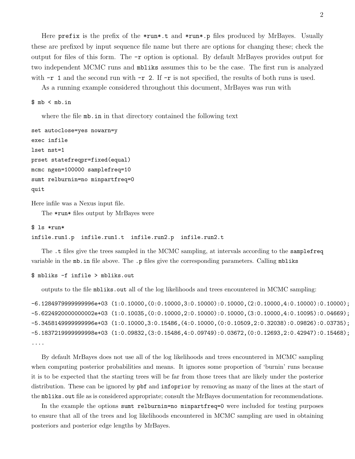Here prefix is the prefix of the \*run\*.t and \*run\*.p files produced by MrBayes. Usually these are prefixed by input sequence file name but there are options for changing these; check the output for files of this form. The -r option is optional. By default MrBayes provides output for two independent MCMC runs and mbliks assumes this to be the case. The first run is analyzed with  $-r 1$  and the second run with  $-r 2$ . If  $-r$  is not specified, the results of both runs is used.

As a running example considered throughout this document, MrBayes was run with

# $$ mb < mb.in$

where the file  $mb \in$  in in that directory contained the following text

```
set autoclose=yes nowarn=y
exec infile
lset nst=1
prset statefreqpr=fixed(equal)
mcmc ngen=100000 samplefreq=10
sumt relburnin=no minpartfreq=0
quit
```
Here infile was a Nexus input file.

The \*run\* files output by MrBayes were

```
$ ls *run*
infile.run1.p infile.run1.t infile.run2.p infile.run2.t
```
The .t files give the trees sampled in the MCMC sampling, at intervals according to the samplefreq variable in the mb.in file above. The .p files give the corresponding parameters. Calling mbliks

```
$ mbliks -f infile > mbliks.out
```
outputs to the file mbliks.out all of the log likelihoods and trees encountered in MCMC sampling:

```
-6.1284979999999996e+03 (1:0.10000,(0:0.10000,3:0.10000):0.10000,(2:0.10000,4:0.10000):0.10000);
-5.6224920000000002e+03 (1:0.10035,(0:0.10000,2:0.10000):0.10000,(3:0.10000,4:0.10095):0.04669);
-5.3458149999999996e+03 (1:0.10000,3:0.15486,(4:0.10000,(0:0.10509,2:0.32038):0.09826):0.03735);
-5.1837219999999998e+03 (1:0.09832,(3:0.15486,4:0.09749):0.03672,(0:0.12693,2:0.42947):0.15468);
....
```
By default MrBayes does not use all of the log likelihoods and trees encountered in MCMC sampling when computing posterior probabilities and means. It ignores some proportion of 'burnin' runs because it is to be expected that the starting trees will be far from those trees that are likely under the posterior distribution. These can be ignored by pbf and infoprior by removing as many of the lines at the start of the mbliks.out file as is considered appropriate; consult the MrBayes documentation for recommendations.

In the example the options sumt relburnin=no minpartfreq=0 were included for testing purposes to ensure that all of the trees and log likelihoods encountered in MCMC sampling are used in obtaining posteriors and posterior edge lengths by MrBayes.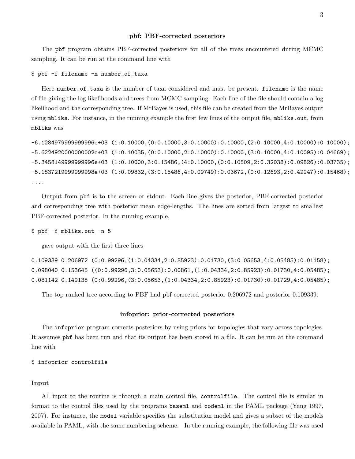#### pbf: PBF-corrected posteriors

The pbf program obtains PBF-corrected posteriors for all of the trees encountered during MCMC sampling. It can be run at the command line with

#### \$ pbf -f filename -n number\_of\_taxa

Here number\_of\_taxa is the number of taxa considered and must be present. filename is the name of file giving the log likelihoods and trees from MCMC sampling. Each line of the file should contain a log likelihood and the corresponding tree. If MrBayes is used, this file can be created from the MrBayes output using mbliks. For instance, in the running example the first few lines of the output file, mbliks.out, from mbliks was

```
-6.1284979999999996e+03 (1:0.10000,(0:0.10000,3:0.10000):0.10000,(2:0.10000,4:0.10000):0.10000);
-5.6224920000000002e+03 (1:0.10035,(0:0.10000,2:0.10000):0.10000,(3:0.10000,4:0.10095):0.04669);
-5.3458149999999996e+03 (1:0.10000,3:0.15486,(4:0.10000,(0:0.10509,2:0.32038):0.09826):0.03735);
-5.1837219999999998e+03 (1:0.09832,(3:0.15486,4:0.09749):0.03672,(0:0.12693,2:0.42947):0.15468);
....
```
Output from pbf is to the screen or stdout. Each line gives the posterior, PBF-corrected posterior and corresponding tree with posterior mean edge-lengths. The lines are sorted from largest to smallest PBF-corrected posterior. In the running example,

\$ pbf -f mbliks.out -n 5

gave output with the first three lines

0.109339 0.206972 (0:0.99296,(1:0.04334,2:0.85923):0.01730,(3:0.05653,4:0.05485):0.01158); 0.098040 0.153645 ((0:0.99296,3:0.05653):0.00861,(1:0.04334,2:0.85923):0.01730,4:0.05485); 0.081142 0.149138 (0:0.99296,(3:0.05653,(1:0.04334,2:0.85923):0.01730):0.01729,4:0.05485);

The top ranked tree according to PBF had pbf-corrected posterior 0.206972 and posterior 0.109339.

#### infoprior: prior-corrected posteriors

The infoprior program corrects posteriors by using priors for topologies that vary across topologies. It assumes pbf has been run and that its output has been stored in a file. It can be run at the command line with

## \$ infoprior controlfile

## Input

All input to the routine is through a main control file, controlfile. The control file is similar in format to the control files used by the programs baseml and codeml in the PAML package (Yang 1997, 2007). For instance, the model variable specifies the substitution model and gives a subset of the models available in PAML, with the same numbering scheme. In the running example, the following file was used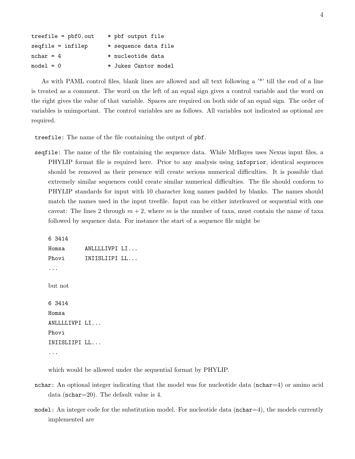| $treefile = pbf0.out$ | * pbf output file    |
|-----------------------|----------------------|
| $seqfile = infilep$   | * sequence data file |
| $nchar = 4$           | * nucleotide data    |
| $model = 0$           | * Jukes Cantor model |

As with PAML control files, blank lines are allowed and all text following a '\*' till the end of a line is treated as a comment. The word on the left of an equal sign gives a control variable and the word on the right gives the value of that variable. Spaces are required on both side of an equal sign. The order of variables is unimportant. The control variables are as follows. All variables not indicated as optional are required.

treefile: The name of the file containing the output of pbf.

seqfile: The name of the file containing the sequence data. While MrBayes uses Nexus input files, a PHYLIP format file is required here. Prior to any analysis using infoprior, identical sequences should be removed as their presence will create serious numerical difficulties. It is possible that extremely similar sequences could create similar numerical difficulties. The file should conform to PHYLIP standards for input with 10 character long names padded by blanks. The names should match the names used in the input treefile. Input can be either interleaved or sequential with one caveat: The lines 2 through  $m + 2$ , where m is the number of taxa, must contain the name of taxa followed by sequence data. For instance the start of a sequence file might be

```
6 3414
Homsa ANLLLLIVPI LI...
Phovi INIISLIIPI LL...
...
but not
6 3414
Homsa
ANLLLLIVPI LI...
Phovi
INIISLIIPI LL...
...
```
which would be allowed under the sequential format by PHYLIP.

- nchar: An optional integer indicating that the model was for nucleotide data ( $nchar=4$ ) or amino acid data (nchar=20). The default value is 4.
- model: An integer code for the substitution model. For nucleotide data (nchar=4), the models currently implemented are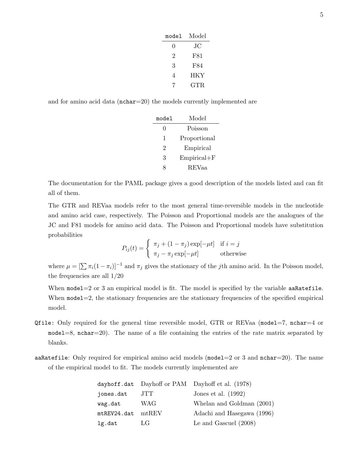| model | Model |
|-------|-------|
| 0     | JС    |
| 2     | F81   |
| 3     | F84   |
| 4     | HKY   |
|       | GTR   |

and for amino acid data (nchar=20) the models currently implemented are

| model | Model           |  |
|-------|-----------------|--|
| 0     | Poisson         |  |
| 1     | Proportional    |  |
| 2     | Empirical       |  |
| 3     | $Empirical + F$ |  |
|       | <b>REVaa</b>    |  |

The documentation for the PAML package gives a good description of the models listed and can fit all of them.

The GTR and REVaa models refer to the most general time-reversible models in the nucleotide and amino acid case, respectively. The Poisson and Proportional models are the analogues of the JC and F81 models for amino acid data. The Poisson and Proportional models have substitution probabilities

$$
P_{ij}(t) = \begin{cases} \pi_j + (1 - \pi_j) \exp[-\mu t] & \text{if } i = j \\ \pi_j - \pi_j \exp[-\mu t] & \text{otherwise} \end{cases}
$$

where  $\mu = [\sum \pi_i(1 - \pi_i)]^{-1}$  and  $\pi_j$  gives the stationary of the jth amino acid. In the Poisson model, the frequencies are all 1/20

When  $model=2$  or 3 an empirical model is fit. The model is specified by the variable aa $Ratefile$ . When  $\text{model}=2$ , the stationary frequencies are the stationary frequencies of the specified empirical model.

- Qfile: Only required for the general time reversible model, GTR or REVaa (model=7, nchar=4 or  $model=8$ , nchar $=20$ ). The name of a file containing the entries of the rate matrix separated by blanks.
- aaRatefile: Only required for empirical amino acid models ( $\text{model}=2$  or 3 and  $\text{nchar}=20$ ). The name of the empirical model to fit. The models currently implemented are

|             |          | dayhoff.dat Dayhoff or PAM Dayhoff et al. (1978) |
|-------------|----------|--------------------------------------------------|
| jones.dat   | JTT      | Jones et al. $(1992)$                            |
| wag.dat     | WAG      | Whelan and Goldman (2001)                        |
| mtREV24.dat | $m$ tREV | Adachi and Hasegawa (1996)                       |
| lg.dat      | LG       | Le and Gascuel $(2008)$                          |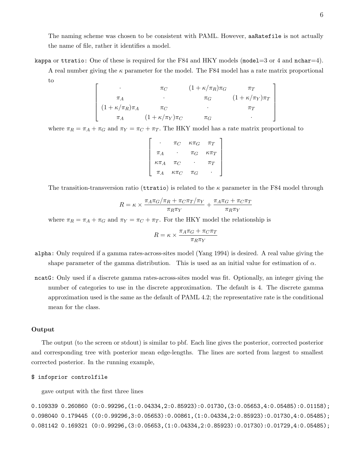The naming scheme was chosen to be consistent with PAML. However, aaRatefile is not actually the name of file, rather it identifies a model.

kappa or ttratio: One of these is required for the F84 and HKY models (model=3 or 4 and nchar=4).

A real number giving the  $\kappa$  parameter for the model. The F84 model has a rate matrix proportional to

$$
\begin{bmatrix}\n\cdot & \pi_C & (1 + \kappa/\pi_R)\pi_G & \pi_T \\
\pi_A & \cdot & \pi_G & (1 + \kappa/\pi_Y)\pi_T \\
(1 + \kappa/\pi_R)\pi_A & \pi_C & \cdot & \pi_T \\
\pi_A & (1 + \kappa/\pi_Y)\pi_C & \pi_G & \cdot\n\end{bmatrix}
$$

where  $\pi_R = \pi_A + \pi_G$  and  $\pi_Y = \pi_C + \pi_T$ . The HKY model has a rate matrix proportional to

|                | $\pi_C$        | $\kappa \pi_G$ | $\pi_T$        |
|----------------|----------------|----------------|----------------|
| $\pi_A$        |                | $\pi_G$        | $\kappa \pi_T$ |
| $\kappa \pi_A$ | $\pi_C$        |                | $\pi_T$        |
| $\pi_A$        | $\kappa \pi_C$ | $\pi_G$        |                |

The transition-transversion ratio (terratio) is related to the  $\kappa$  parameter in the F84 model through

$$
R = \kappa \times \frac{\pi_A \pi_G/\pi_R + \pi_C \pi_T/\pi_Y}{\pi_R \pi_Y} + \frac{\pi_A \pi_G + \pi_C \pi_T}{\pi_R \pi_Y}
$$

where  $\pi_R = \pi_A + \pi_G$  and  $\pi_Y = \pi_C + \pi_T$ . For the HKY model the relationship is

$$
R = \kappa \times \frac{\pi_A \pi_G + \pi_C \pi_T}{\pi_R \pi_Y}
$$

- alpha: Only required if a gamma rates-across-sites model (Yang 1994) is desired. A real value giving the shape parameter of the gamma distribution. This is used as an initial value for estimation of  $\alpha$ .
- ncatG: Only used if a discrete gamma rates-across-sites model was fit. Optionally, an integer giving the number of categories to use in the discrete approximation. The default is 4. The discrete gamma approximation used is the same as the default of PAML 4.2; the representative rate is the conditional mean for the class.

## Output

The output (to the screen or stdout) is similar to pbf. Each line gives the posterior, corrected posterior and corresponding tree with posterior mean edge-lengths. The lines are sorted from largest to smallest corrected posterior. In the running example,

#### \$ infoprior controlfile

gave output with the first three lines

0.109339 0.260860 (0:0.99296,(1:0.04334,2:0.85923):0.01730,(3:0.05653,4:0.05485):0.01158); 0.098040 0.179445 ((0:0.99296,3:0.05653):0.00861,(1:0.04334,2:0.85923):0.01730,4:0.05485); 0.081142 0.169321 (0:0.99296,(3:0.05653,(1:0.04334,2:0.85923):0.01730):0.01729,4:0.05485);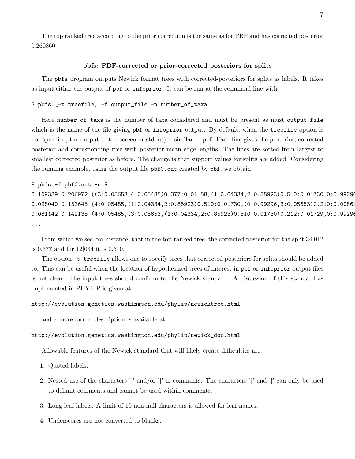The top ranked tree according to the prior correction is the same as for PBF and has corrected posterior 0.260860.

#### pbfs: PBF-corrected or prior-corrected posteriors for splits

The pbfs program outputs Newick format trees with corrected-posteriors for splits as labels. It takes as input either the output of pbf or infoprior. It can be run at the command line with

```
$ pbfs [-t treefile] -f output_file -n number_of_taxa
```
Here number\_of\_taxa is the number of taxa considered and must be present as must output\_file which is the name of the file giving pbf or infoprior output. By default, when the treefile option is not specified, the output to the screen or stdout) is similar to pbf. Each line gives the posterior, corrected posterior and corresponding tree with posterior mean edge-lengths. The lines are sorted from largest to smallest corrected posterior as before. The change is that support values for splits are added. Considering the running example, using the output file pbf0.out created by pbf, we obtain

\$ pbfs -f pbf0.out -n 5

0.109339 0.206972 ((3:0.05653,4:0.05485)0.377:0.01158,(1:0.04334,2:0.85923)0.510:0.01730,0:0.99296 0.098040 0.153645 (4:0.05485,(1:0.04334,2:0.85923)0.510:0.01730,(0:0.99296,3:0.05653)0.210:0.0086 0.081142 0.149138 (4:0.05485,(3:0.05653,(1:0.04334,2:0.85923)0.510:0.01730)0.212:0.01729,0:0.99296); ...

From which we see, for instance, that in the top-ranked tree, the corrected posterior for the split 34|012 is 0.377 and for 12|034 it is 0.510.

The option -t treefile allows one to specify trees that corrected posteriors for splits should be added to. This can be useful when the location of hypothesized trees of interest in pbf or infoprior output files is not clear. The input trees should conform to the Newick standard. A discussion of this standard as implemented in PHYLIP is given at

#### http://evolution.genetics.washington.edu/phylip/newicktree.html

and a more formal description is available at

## http://evolution.genetics.washington.edu/phylip/newick\_doc.html

Allowable features of the Newick standard that will likely create difficulties are:

1. Quoted labels.

- 2. Nested use of the characters '[' and/or ']' in comments. The characters '[' and ']' can only be used to delimit comments and cannot be used within comments.
- 3. Long leaf labels. A limit of 10 non-null characters is allowed for leaf names.
- 4. Underscores are not converted to blanks.